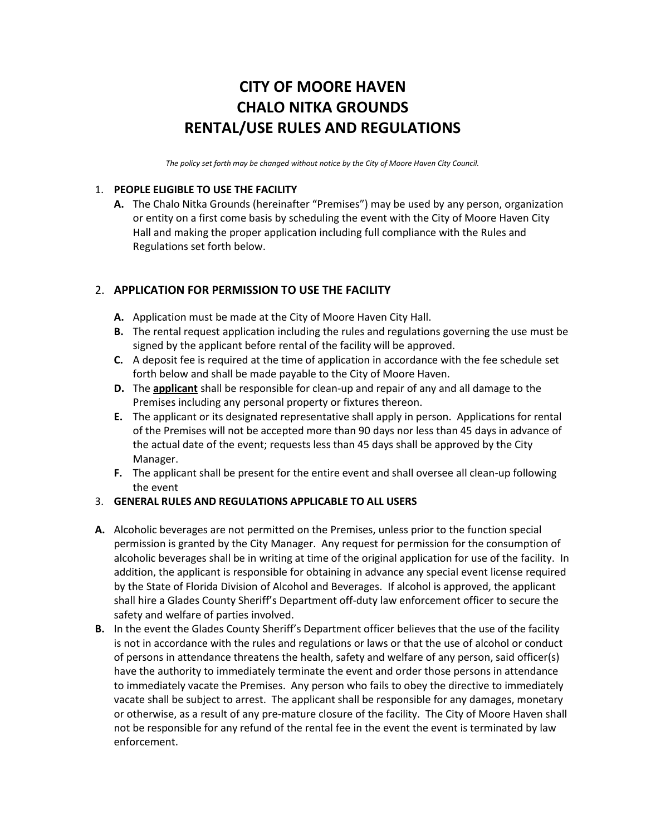# **CITY OF MOORE HAVEN CHALO NITKA GROUNDS RENTAL/USE RULES AND REGULATIONS**

*The policy set forth may be changed without notice by the City of Moore Haven City Council.*

### 1. **PEOPLE ELIGIBLE TO USE THE FACILITY**

**A.** The Chalo Nitka Grounds (hereinafter "Premises") may be used by any person, organization or entity on a first come basis by scheduling the event with the City of Moore Haven City Hall and making the proper application including full compliance with the Rules and Regulations set forth below.

# 2. **APPLICATION FOR PERMISSION TO USE THE FACILITY**

- **A.** Application must be made at the City of Moore Haven City Hall.
- **B.** The rental request application including the rules and regulations governing the use must be signed by the applicant before rental of the facility will be approved.
- **C.** A deposit fee is required at the time of application in accordance with the fee schedule set forth below and shall be made payable to the City of Moore Haven.
- **D.** The **applicant** shall be responsible for clean-up and repair of any and all damage to the Premises including any personal property or fixtures thereon.
- **E.** The applicant or its designated representative shall apply in person. Applications for rental of the Premises will not be accepted more than 90 days nor less than 45 days in advance of the actual date of the event; requests less than 45 days shall be approved by the City Manager.
- **F.** The applicant shall be present for the entire event and shall oversee all clean-up following the event

## 3. **GENERAL RULES AND REGULATIONS APPLICABLE TO ALL USERS**

- **A.** Alcoholic beverages are not permitted on the Premises, unless prior to the function special permission is granted by the City Manager. Any request for permission for the consumption of alcoholic beverages shall be in writing at time of the original application for use of the facility. In addition, the applicant is responsible for obtaining in advance any special event license required by the State of Florida Division of Alcohol and Beverages. If alcohol is approved, the applicant shall hire a Glades County Sheriff's Department off-duty law enforcement officer to secure the safety and welfare of parties involved.
- **B.** In the event the Glades County Sheriff's Department officer believes that the use of the facility is not in accordance with the rules and regulations or laws or that the use of alcohol or conduct of persons in attendance threatens the health, safety and welfare of any person, said officer(s) have the authority to immediately terminate the event and order those persons in attendance to immediately vacate the Premises. Any person who fails to obey the directive to immediately vacate shall be subject to arrest. The applicant shall be responsible for any damages, monetary or otherwise, as a result of any pre-mature closure of the facility. The City of Moore Haven shall not be responsible for any refund of the rental fee in the event the event is terminated by law enforcement.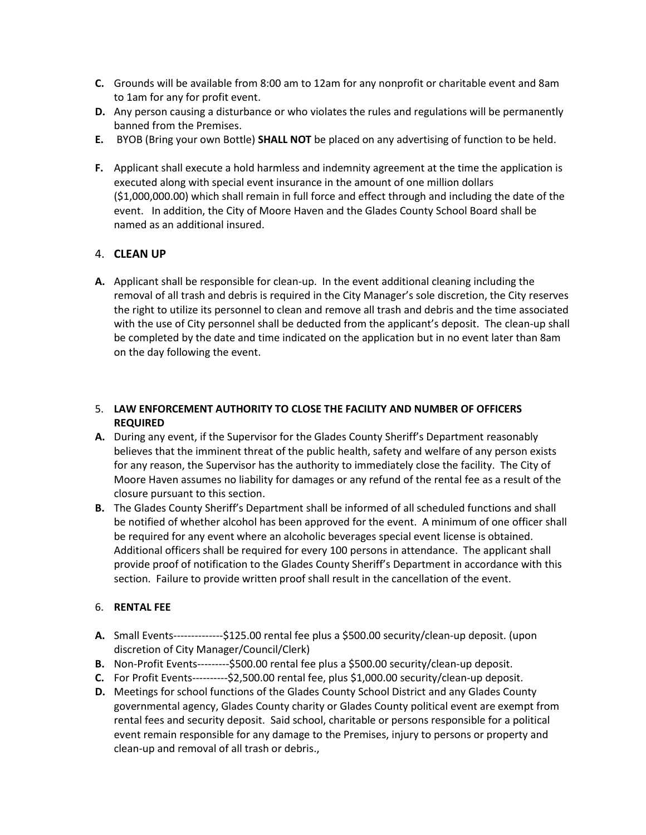- **C.** Grounds will be available from 8:00 am to 12am for any nonprofit or charitable event and 8am to 1am for any for profit event.
- **D.** Any person causing a disturbance or who violates the rules and regulations will be permanently banned from the Premises.
- **E.** BYOB (Bring your own Bottle) **SHALL NOT** be placed on any advertising of function to be held.
- **F.** Applicant shall execute a hold harmless and indemnity agreement at the time the application is executed along with special event insurance in the amount of one million dollars (\$1,000,000.00) which shall remain in full force and effect through and including the date of the event. In addition, the City of Moore Haven and the Glades County School Board shall be named as an additional insured.

### 4. **CLEAN UP**

**A.** Applicant shall be responsible for clean-up. In the event additional cleaning including the removal of all trash and debris is required in the City Manager's sole discretion, the City reserves the right to utilize its personnel to clean and remove all trash and debris and the time associated with the use of City personnel shall be deducted from the applicant's deposit. The clean-up shall be completed by the date and time indicated on the application but in no event later than 8am on the day following the event.

### 5. **LAW ENFORCEMENT AUTHORITY TO CLOSE THE FACILITY AND NUMBER OF OFFICERS REQUIRED**

- **A.** During any event, if the Supervisor for the Glades County Sheriff's Department reasonably believes that the imminent threat of the public health, safety and welfare of any person exists for any reason, the Supervisor has the authority to immediately close the facility. The City of Moore Haven assumes no liability for damages or any refund of the rental fee as a result of the closure pursuant to this section.
- **B.** The Glades County Sheriff's Department shall be informed of all scheduled functions and shall be notified of whether alcohol has been approved for the event. A minimum of one officer shall be required for any event where an alcoholic beverages special event license is obtained. Additional officers shall be required for every 100 persons in attendance. The applicant shall provide proof of notification to the Glades County Sheriff's Department in accordance with this section. Failure to provide written proof shall result in the cancellation of the event.

#### 6. **RENTAL FEE**

- **A.** Small Events--------------\$125.00 rental fee plus a \$500.00 security/clean-up deposit. (upon discretion of City Manager/Council/Clerk)
- **B.** Non-Profit Events---------\$500.00 rental fee plus a \$500.00 security/clean-up deposit.
- **C.** For Profit Events----------\$2,500.00 rental fee, plus \$1,000.00 security/clean-up deposit.
- **D.** Meetings for school functions of the Glades County School District and any Glades County governmental agency, Glades County charity or Glades County political event are exempt from rental fees and security deposit. Said school, charitable or persons responsible for a political event remain responsible for any damage to the Premises, injury to persons or property and clean-up and removal of all trash or debris.,